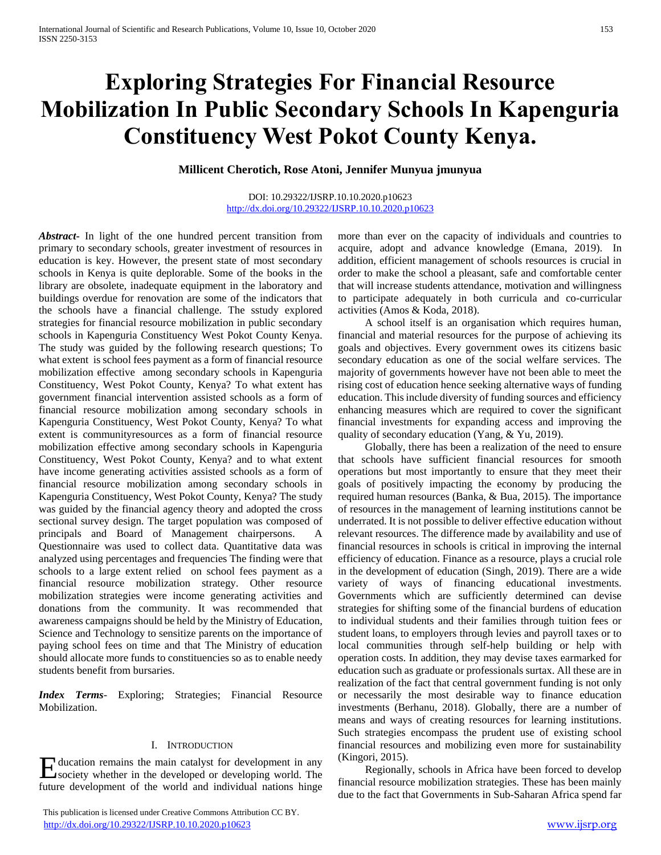# **Exploring Strategies For Financial Resource Mobilization In Public Secondary Schools In Kapenguria Constituency West Pokot County Kenya.**

**Millicent Cherotich, Rose Atoni, Jennifer Munyua jmunyua**

## DOI: 10.29322/IJSRP.10.10.2020.p10623 <http://dx.doi.org/10.29322/IJSRP.10.10.2020.p10623>

*Abstract***-** In light of the one hundred percent transition from primary to secondary schools, greater investment of resources in education is key. However, the present state of most secondary schools in Kenya is quite deplorable. Some of the books in the library are obsolete, inadequate equipment in the laboratory and buildings overdue for renovation are some of the indicators that the schools have a financial challenge. The sstudy explored strategies for financial resource mobilization in public secondary schools in Kapenguria Constituency West Pokot County Kenya. The study was guided by the following research questions; To what extent is school fees payment as a form of financial resource mobilization effective among secondary schools in Kapenguria Constituency, West Pokot County, Kenya? To what extent has government financial intervention assisted schools as a form of financial resource mobilization among secondary schools in Kapenguria Constituency, West Pokot County, Kenya? To what extent is communityresources as a form of financial resource mobilization effective among secondary schools in Kapenguria Constituency, West Pokot County, Kenya? and to what extent have income generating activities assisted schools as a form of financial resource mobilization among secondary schools in Kapenguria Constituency, West Pokot County, Kenya? The study was guided by the financial agency theory and adopted the cross sectional survey design. The target population was composed of principals and Board of Management chairpersons. A Questionnaire was used to collect data. Quantitative data was analyzed using percentages and frequencies The finding were that schools to a large extent relied on school fees payment as a financial resource mobilization strategy. Other resource mobilization strategies were income generating activities and donations from the community. It was recommended that awareness campaigns should be held by the Ministry of Education, Science and Technology to sensitize parents on the importance of paying school fees on time and that The Ministry of education should allocate more funds to constituencies so as to enable needy students benefit from bursaries.

*Index Terms*- Exploring; Strategies; Financial Resource Mobilization.

## I. INTRODUCTION

Holucation remains the main catalyst for development in any society whether in the developed or developing world. The society whether in the developed or developing world. The future development of the world and individual nations hinge

 This publication is licensed under Creative Commons Attribution CC BY. <http://dx.doi.org/10.29322/IJSRP.10.10.2020.p10623> [www.ijsrp.org](http://ijsrp.org/)

more than ever on the capacity of individuals and countries to acquire, adopt and advance knowledge (Emana, 2019). In addition, efficient management of schools resources is crucial in order to make the school a pleasant, safe and comfortable center that will increase students attendance, motivation and willingness to participate adequately in both curricula and co-curricular activities (Amos & Koda, 2018).

 A school itself is an organisation which requires human, financial and material resources for the purpose of achieving its goals and objectives. Every government owes its citizens basic secondary education as one of the social welfare services. The majority of governments however have not been able to meet the rising cost of education hence seeking alternative ways of funding education. This include diversity of funding sources and efficiency enhancing measures which are required to cover the significant financial investments for expanding access and improving the quality of secondary education (Yang, & Yu, 2019).

 Globally, there has been a realization of the need to ensure that schools have sufficient financial resources for smooth operations but most importantly to ensure that they meet their goals of positively impacting the economy by producing the required human resources (Banka, & Bua, 2015). The importance of resources in the management of learning institutions cannot be underrated. It is not possible to deliver effective education without relevant resources. The difference made by availability and use of financial resources in schools is critical in improving the internal efficiency of education. Finance as a resource, plays a crucial role in the development of education (Singh, 2019). There are a wide variety of ways of financing educational investments. Governments which are sufficiently determined can devise strategies for shifting some of the financial burdens of education to individual students and their families through tuition fees or student loans, to employers through levies and payroll taxes or to local communities through self-help building or help with operation costs. In addition, they may devise taxes earmarked for education such as graduate or professionals surtax. All these are in realization of the fact that central government funding is not only or necessarily the most desirable way to finance education investments (Berhanu, 2018). Globally, there are a number of means and ways of creating resources for learning institutions. Such strategies encompass the prudent use of existing school financial resources and mobilizing even more for sustainability (Kingori, 2015).

 Regionally, schools in Africa have been forced to develop financial resource mobilization strategies. These has been mainly due to the fact that Governments in Sub-Saharan Africa spend far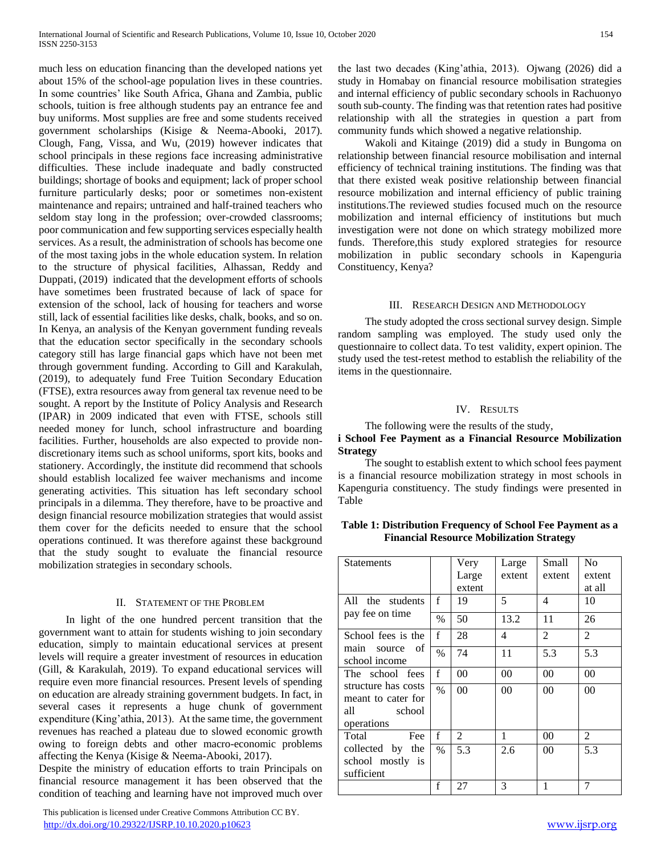much less on education financing than the developed nations yet about 15% of the school-age population lives in these countries. In some countries' like South Africa, Ghana and Zambia, public schools, tuition is free although students pay an entrance fee and buy uniforms. Most supplies are free and some students received government scholarships (Kisige & Neema-Abooki, 2017). Clough, Fang, Vissa, and Wu, (2019) however indicates that school principals in these regions face increasing administrative difficulties. These include inadequate and badly constructed buildings; shortage of books and equipment; lack of proper school furniture particularly desks; poor or sometimes non-existent maintenance and repairs; untrained and half-trained teachers who seldom stay long in the profession; over-crowded classrooms; poor communication and few supporting services especially health services. As a result, the administration of schools has become one of the most taxing jobs in the whole education system. In relation to the structure of physical facilities, Alhassan, Reddy and Duppati, (2019) indicated that the development efforts of schools have sometimes been frustrated because of lack of space for extension of the school, lack of housing for teachers and worse still, lack of essential facilities like desks, chalk, books, and so on. In Kenya, an analysis of the Kenyan government funding reveals that the education sector specifically in the secondary schools category still has large financial gaps which have not been met through government funding. According to Gill and Karakulah, (2019), to adequately fund Free Tuition Secondary Education (FTSE), extra resources away from general tax revenue need to be sought. A report by the Institute of Policy Analysis and Research (IPAR) in 2009 indicated that even with FTSE, schools still needed money for lunch, school infrastructure and boarding facilities. Further, households are also expected to provide nondiscretionary items such as school uniforms, sport kits, books and stationery. Accordingly, the institute did recommend that schools should establish localized fee waiver mechanisms and income generating activities. This situation has left secondary school principals in a dilemma. They therefore, have to be proactive and design financial resource mobilization strategies that would assist them cover for the deficits needed to ensure that the school operations continued. It was therefore against these background that the study sought to evaluate the financial resource mobilization strategies in secondary schools.

## II. STATEMENT OF THE PROBLEM

 In light of the one hundred percent transition that the government want to attain for students wishing to join secondary education, simply to maintain educational services at present levels will require a greater investment of resources in education (Gill, & Karakulah, 2019). To expand educational services will require even more financial resources. Present levels of spending on education are already straining government budgets. In fact, in several cases it represents a huge chunk of government expenditure (King'athia, 2013). At the same time, the government revenues has reached a plateau due to slowed economic growth owing to foreign debts and other macro-economic problems affecting the Kenya (Kisige & Neema-Abooki, 2017).

Despite the ministry of education efforts to train Principals on financial resource management it has been observed that the condition of teaching and learning have not improved much over

 This publication is licensed under Creative Commons Attribution CC BY. <http://dx.doi.org/10.29322/IJSRP.10.10.2020.p10623> [www.ijsrp.org](http://ijsrp.org/)

 Wakoli and Kitainge (2019) did a study in Bungoma on relationship between financial resource mobilisation and internal efficiency of technical training institutions. The finding was that that there existed weak positive relationship between financial resource mobilization and internal efficiency of public training institutions.The reviewed studies focused much on the resource mobilization and internal efficiency of institutions but much investigation were not done on which strategy mobilized more funds. Therefore,this study explored strategies for resource mobilization in public secondary schools in Kapenguria Constituency, Kenya?

## III. RESEARCH DESIGN AND METHODOLOGY

 The study adopted the cross sectional survey design. Simple random sampling was employed. The study used only the questionnaire to collect data. To test validity, expert opinion. The study used the test-retest method to establish the reliability of the items in the questionnaire.

# IV. RESULTS

## The following were the results of the study,

# **i School Fee Payment as a Financial Resource Mobilization Strategy**

 The sought to establish extent to which school fees payment is a financial resource mobilization strategy in most schools in Kapenguria constituency. The study findings were presented in Table

| Table 1: Distribution Frequency of School Fee Payment as a |
|------------------------------------------------------------|
| <b>Financial Resource Mobilization Strategy</b>            |

| <b>Statements</b>                                                        |               | Very           | Large  | Small          | N <sub>0</sub> |
|--------------------------------------------------------------------------|---------------|----------------|--------|----------------|----------------|
|                                                                          |               | Large          | extent | extent         | extent         |
|                                                                          |               | extent         |        |                | at all         |
| All the students                                                         | f             | 19             | 5      | 4              | 10             |
| pay fee on time                                                          | $\frac{0}{0}$ | 50             | 13.2   | 11             | 26             |
| School fees is the                                                       | $\mathbf f$   | 28             | 4      | $\overline{2}$ | $\overline{2}$ |
| main source<br>- of<br>school income                                     | $\frac{0}{0}$ | 74             | 11     | 5.3            | 5.3            |
| The school fees                                                          | f             | 00             | 00     | 00             | 00             |
| structure has costs<br>meant to cater for<br>all<br>school<br>operations | $\frac{0}{0}$ | 0 <sup>0</sup> | 00     | 0 <sup>0</sup> | 0 <sub>0</sub> |
| Total<br>Fee                                                             | f             | 2              | 1      | 00             | $\overline{c}$ |
| collected by the<br>school mostly is<br>sufficient                       | $\%$          | 5.3            | 2.6    | 00             | 5.3            |
|                                                                          | $\mathbf f$   | 27             | 3      | 1              | 7              |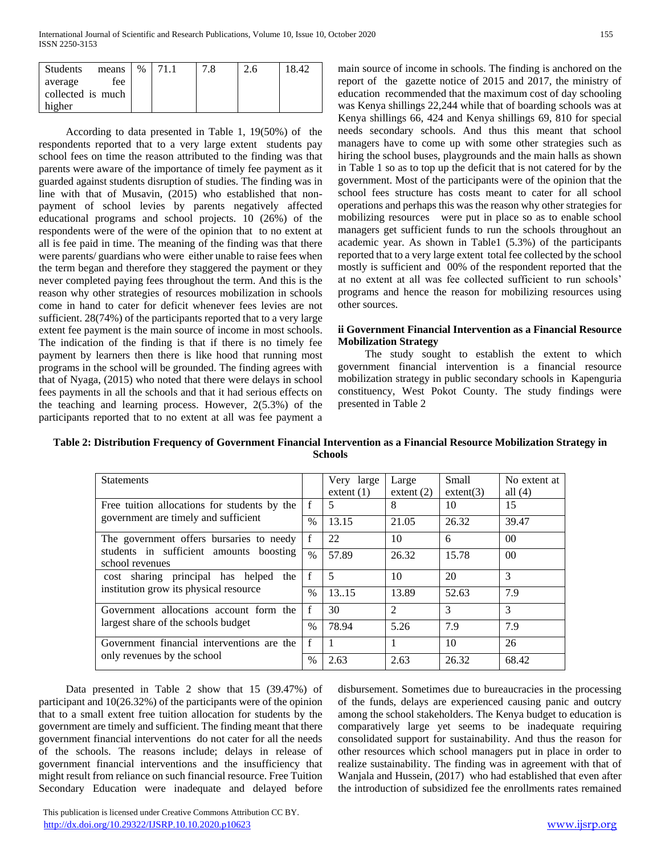| Students          | means | $\%$ |  | 2.6 | 18.42 |
|-------------------|-------|------|--|-----|-------|
| average           | fee   |      |  |     |       |
| collected is much |       |      |  |     |       |
| higher            |       |      |  |     |       |

 According to data presented in Table 1, 19(50%) of the respondents reported that to a very large extent students pay school fees on time the reason attributed to the finding was that parents were aware of the importance of timely fee payment as it guarded against students disruption of studies. The finding was in line with that of Musavin, (2015) who established that nonpayment of school levies by parents negatively affected educational programs and school projects. 10 (26%) of the respondents were of the were of the opinion that to no extent at all is fee paid in time. The meaning of the finding was that there were parents/ guardians who were either unable to raise fees when the term began and therefore they staggered the payment or they never completed paying fees throughout the term. And this is the reason why other strategies of resources mobilization in schools come in hand to cater for deficit whenever fees levies are not sufficient. 28(74%) of the participants reported that to a very large extent fee payment is the main source of income in most schools. The indication of the finding is that if there is no timely fee payment by learners then there is like hood that running most programs in the school will be grounded. The finding agrees with that of Nyaga, (2015) who noted that there were delays in school fees payments in all the schools and that it had serious effects on the teaching and learning process. However, 2(5.3%) of the participants reported that to no extent at all was fee payment a

main source of income in schools. The finding is anchored on the report of the gazette notice of 2015 and 2017, the ministry of education recommended that the maximum cost of day schooling was Kenya shillings 22,244 while that of boarding schools was at Kenya shillings 66, 424 and Kenya shillings 69, 810 for special needs secondary schools. And thus this meant that school managers have to come up with some other strategies such as hiring the school buses, playgrounds and the main halls as shown in Table 1 so as to top up the deficit that is not catered for by the government. Most of the participants were of the opinion that the school fees structure has costs meant to cater for all school operations and perhaps this was the reason why other strategies for mobilizing resources were put in place so as to enable school managers get sufficient funds to run the schools throughout an academic year. As shown in Table1 (5.3%) of the participants reported that to a very large extent total fee collected by the school mostly is sufficient and 00% of the respondent reported that the at no extent at all was fee collected sufficient to run schools' programs and hence the reason for mobilizing resources using other sources.

## **ii Government Financial Intervention as a Financial Resource Mobilization Strategy**

 The study sought to establish the extent to which government financial intervention is a financial resource mobilization strategy in public secondary schools in Kapenguria constituency, West Pokot County. The study findings were presented in Table 2

| Table 2: Distribution Frequency of Government Financial Intervention as a Financial Resource Mobilization Strategy in |
|-----------------------------------------------------------------------------------------------------------------------|
| <b>Schools</b>                                                                                                        |

| <b>Statements</b>                                                                    |             | Very large<br>extent $(1)$ | Large<br>extent $(2)$ | Small<br>extent(3) | No extent at<br>all $(4)$ |
|--------------------------------------------------------------------------------------|-------------|----------------------------|-----------------------|--------------------|---------------------------|
| Free tuition allocations for students by the<br>government are timely and sufficient | $\mathbf f$ | 5                          | 8                     | 10                 | 15                        |
|                                                                                      | $\%$        | 13.15                      | 21.05                 | 26.32              | 39.47                     |
| The government offers bursaries to needy                                             | f           | 22                         | 10                    | 6                  | 0 <sup>0</sup>            |
| students in sufficient amounts boosting<br>school revenues                           | $\%$        | 57.89                      | 26.32                 | 15.78              | 0 <sup>0</sup>            |
| cost sharing principal has helped<br>the<br>institution grow its physical resource   | $\mathbf f$ | 5                          | 10                    | 20                 | 3                         |
|                                                                                      | $\%$        | 13.15                      | 13.89                 | 52.63              | 7.9                       |
| Government allocations account form the<br>largest share of the schools budget       | $\mathbf f$ | 30                         | $\mathfrak{D}$        | 3                  | 3                         |
|                                                                                      | $\%$        | 78.94                      | 5.26                  | 7.9                | 7.9                       |
| Government financial interventions are the                                           | f           |                            |                       | 10                 | 26                        |
| only revenues by the school                                                          | $\%$        | 2.63                       | 2.63                  | 26.32              | 68.42                     |

 Data presented in Table 2 show that 15 (39.47%) of participant and 10(26.32%) of the participants were of the opinion that to a small extent free tuition allocation for students by the government are timely and sufficient. The finding meant that there government financial interventions do not cater for all the needs of the schools. The reasons include; delays in release of government financial interventions and the insufficiency that might result from reliance on such financial resource. Free Tuition Secondary Education were inadequate and delayed before disbursement. Sometimes due to bureaucracies in the processing of the funds, delays are experienced causing panic and outcry among the school stakeholders. The Kenya budget to education is comparatively large yet seems to be inadequate requiring consolidated support for sustainability. And thus the reason for other resources which school managers put in place in order to realize sustainability. The finding was in agreement with that of Wanjala and Hussein, (2017) who had established that even after the introduction of subsidized fee the enrollments rates remained

 This publication is licensed under Creative Commons Attribution CC BY. <http://dx.doi.org/10.29322/IJSRP.10.10.2020.p10623> [www.ijsrp.org](http://ijsrp.org/)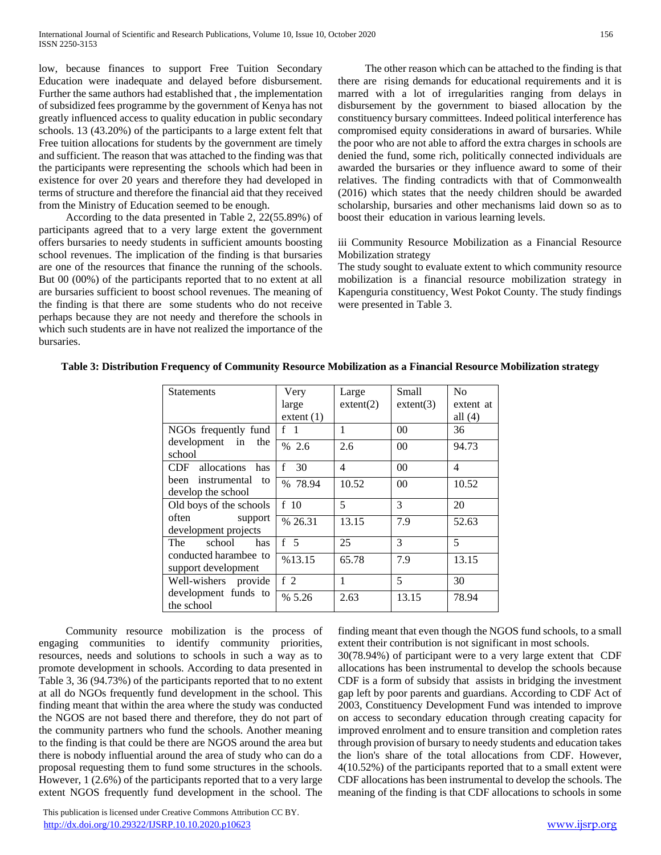low, because finances to support Free Tuition Secondary Education were inadequate and delayed before disbursement. Further the same authors had established that , the implementation of subsidized fees programme by the government of Kenya has not greatly influenced access to quality education in public secondary schools. 13 (43.20%) of the participants to a large extent felt that Free tuition allocations for students by the government are timely and sufficient. The reason that was attached to the finding was that the participants were representing the schools which had been in existence for over 20 years and therefore they had developed in terms of structure and therefore the financial aid that they received from the Ministry of Education seemed to be enough.

 According to the data presented in Table 2, 22(55.89%) of participants agreed that to a very large extent the government offers bursaries to needy students in sufficient amounts boosting school revenues. The implication of the finding is that bursaries are one of the resources that finance the running of the schools. But 00 (00%) of the participants reported that to no extent at all are bursaries sufficient to boost school revenues. The meaning of the finding is that there are some students who do not receive perhaps because they are not needy and therefore the schools in which such students are in have not realized the importance of the bursaries.

 The other reason which can be attached to the finding is that there are rising demands for educational requirements and it is marred with a lot of irregularities ranging from delays in disbursement by the government to biased allocation by the constituency bursary committees. Indeed political interference has compromised equity considerations in award of bursaries. While the poor who are not able to afford the extra charges in schools are denied the fund, some rich, politically connected individuals are awarded the bursaries or they influence award to some of their relatives. The finding contradicts with that of Commonwealth (2016) which states that the needy children should be awarded scholarship, bursaries and other mechanisms laid down so as to boost their education in various learning levels.

iii Community Resource Mobilization as a Financial Resource Mobilization strategy

The study sought to evaluate extent to which community resource mobilization is a financial resource mobilization strategy in Kapenguria constituency, West Pokot County. The study findings were presented in Table 3.

| <b>Statements</b>                             | Very               | Large     | Small          | N <sub>0</sub> |
|-----------------------------------------------|--------------------|-----------|----------------|----------------|
|                                               | large              | extent(2) | extent(3)      | extent at      |
|                                               | extent $(1)$       |           |                | all $(4)$      |
| NGOs frequently fund                          | f <sub>1</sub>     | 1         | 0 <sup>0</sup> | 36             |
| development in<br>the<br>school               | % 2.6              | 2.6       | 0 <sup>0</sup> | 94.73          |
| CDF allocations has                           | $\mathbf{f}$<br>30 | 4         | 0 <sup>0</sup> | $\overline{4}$ |
| been instrumental<br>to<br>develop the school | % 78.94            | 10.52     | 0 <sup>0</sup> | 10.52          |
| Old boys of the schools                       | f <sub>10</sub>    | 5         | 3              | 20             |
| often<br>support<br>development projects      | % 26.31            | 13.15     | 7.9            | 52.63          |
| school<br>The<br>has                          | f <sub>5</sub>     | 25        | 3              | 5              |
| conducted harambee to<br>support development  | %13.15             | 65.78     | 7.9            | 13.15          |
| Well-wishers provide                          | f $2$              | 1         | 5              | 30             |
| development funds to<br>the school            | % 5.26             | 2.63      | 13.15          | 78.94          |

**Table 3: Distribution Frequency of Community Resource Mobilization as a Financial Resource Mobilization strategy**

 Community resource mobilization is the process of engaging communities to identify community priorities, resources, needs and solutions to schools in such a way as to promote development in schools. According to data presented in Table 3, 36 (94.73%) of the participants reported that to no extent at all do NGOs frequently fund development in the school. This finding meant that within the area where the study was conducted the NGOS are not based there and therefore, they do not part of the community partners who fund the schools. Another meaning to the finding is that could be there are NGOS around the area but there is nobody influential around the area of study who can do a proposal requesting them to fund some structures in the schools. However, 1 (2.6%) of the participants reported that to a very large extent NGOS frequently fund development in the school. The

 This publication is licensed under Creative Commons Attribution CC BY. <http://dx.doi.org/10.29322/IJSRP.10.10.2020.p10623> [www.ijsrp.org](http://ijsrp.org/)

finding meant that even though the NGOS fund schools, to a small extent their contribution is not significant in most schools.

30(78.94%) of participant were to a very large extent that CDF allocations has been instrumental to develop the schools because CDF is a form of subsidy that assists in bridging the investment gap left by poor parents and guardians. According to CDF Act of 2003, Constituency Development Fund was intended to improve on access to secondary education through creating capacity for improved enrolment and to ensure transition and completion rates through provision of bursary to needy students and education takes the lion's share of the total allocations from CDF. However, 4(10.52%) of the participants reported that to a small extent were CDF allocations has been instrumental to develop the schools. The meaning of the finding is that CDF allocations to schools in some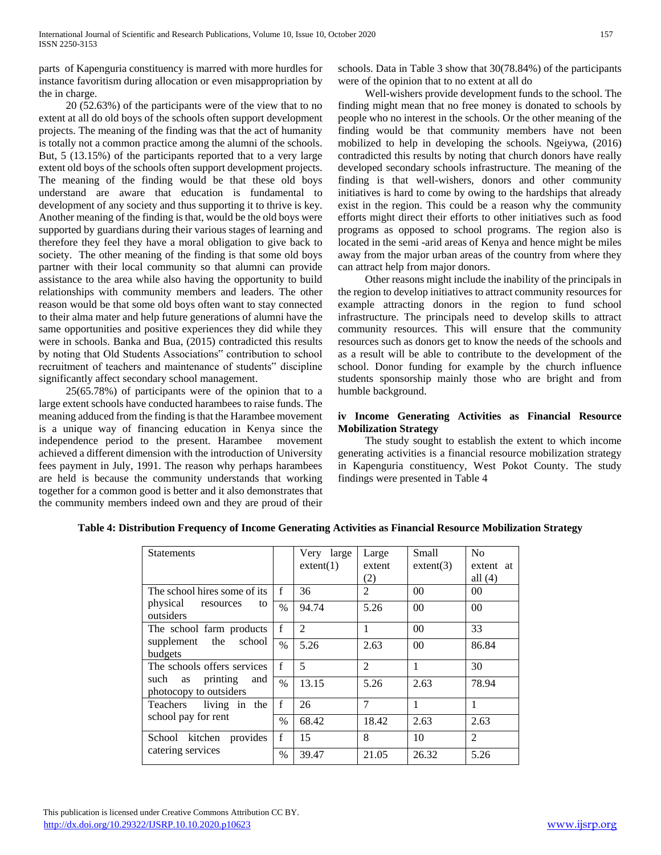parts of Kapenguria constituency is marred with more hurdles for instance favoritism during allocation or even misappropriation by the in charge.

 20 (52.63%) of the participants were of the view that to no extent at all do old boys of the schools often support development projects. The meaning of the finding was that the act of humanity is totally not a common practice among the alumni of the schools. But, 5 (13.15%) of the participants reported that to a very large extent old boys of the schools often support development projects. The meaning of the finding would be that these old boys understand are aware that education is fundamental to development of any society and thus supporting it to thrive is key. Another meaning of the finding is that, would be the old boys were supported by guardians during their various stages of learning and therefore they feel they have a moral obligation to give back to society. The other meaning of the finding is that some old boys partner with their local community so that alumni can provide assistance to the area while also having the opportunity to build relationships with community members and leaders. The other reason would be that some old boys often want to stay connected to their alma mater and help future generations of alumni have the same opportunities and positive experiences they did while they were in schools. Banka and Bua, (2015) contradicted this results by noting that Old Students Associations" contribution to school recruitment of teachers and maintenance of students" discipline significantly affect secondary school management.

 25(65.78%) of participants were of the opinion that to a large extent schools have conducted harambees to raise funds. The meaning adduced from the finding is that the Harambee movement is a unique way of financing education in Kenya since the independence period to the present. Harambee movement achieved a different dimension with the introduction of University fees payment in July, 1991. The reason why perhaps harambees are held is because the community understands that working together for a common good is better and it also demonstrates that the community members indeed own and they are proud of their

schools. Data in Table 3 show that 30(78.84%) of the participants were of the opinion that to no extent at all do

 Well-wishers provide development funds to the school. The finding might mean that no free money is donated to schools by people who no interest in the schools. Or the other meaning of the finding would be that community members have not been mobilized to help in developing the schools. Ngeiywa, (2016) contradicted this results by noting that church donors have really developed secondary schools infrastructure. The meaning of the finding is that well-wishers, donors and other community initiatives is hard to come by owing to the hardships that already exist in the region. This could be a reason why the community efforts might direct their efforts to other initiatives such as food programs as opposed to school programs. The region also is located in the semi -arid areas of Kenya and hence might be miles away from the major urban areas of the country from where they can attract help from major donors.

 Other reasons might include the inability of the principals in the region to develop initiatives to attract community resources for example attracting donors in the region to fund school infrastructure. The principals need to develop skills to attract community resources. This will ensure that the community resources such as donors get to know the needs of the schools and as a result will be able to contribute to the development of the school. Donor funding for example by the church influence students sponsorship mainly those who are bright and from humble background.

## **iv Income Generating Activities as Financial Resource Mobilization Strategy**

 The study sought to establish the extent to which income generating activities is a financial resource mobilization strategy in Kapenguria constituency, West Pokot County. The study findings were presented in Table 4

| <b>Statements</b>                                       |               | Very large<br>extent(1) | Large<br>extent | Small<br>extent(3) | N <sub>0</sub><br>extent at |
|---------------------------------------------------------|---------------|-------------------------|-----------------|--------------------|-----------------------------|
|                                                         |               |                         | (2)             |                    | all $(4)$                   |
| The school hires some of its                            | $\mathbf{f}$  | 36                      | 2               | 0 <sup>0</sup>     | 00                          |
| physical<br>resources<br>to<br>outsiders                | $\%$          | 94.74                   | 5.26            | 0 <sup>0</sup>     | 0 <sup>0</sup>              |
| The school farm products                                | $\mathbf{f}$  | $\mathfrak{D}$          | 1               | 0 <sup>0</sup>     | 33                          |
| supplement the<br>school<br>budgets                     | $\frac{0}{0}$ | 5.26                    | 2.63            | 0 <sup>0</sup>     | 86.84                       |
| The schools offers services                             | $\mathbf{f}$  | 5                       | $\overline{2}$  | 1                  | 30                          |
| printing<br>such<br>and<br>as<br>photocopy to outsiders | $\frac{0}{0}$ | 13.15                   | 5.26            | 2.63               | 78.94                       |
| Teachers living in the<br>school pay for rent           | f             | 26                      | $\overline{7}$  | 1                  | 1                           |
|                                                         | $\%$          | 68.42                   | 18.42           | 2.63               | 2.63                        |
| School kitchen provides                                 | $\mathbf f$   | 15                      | 8               | 10                 | $\overline{2}$              |
| catering services                                       | $\%$          | 39.47                   | 21.05           | 26.32              | 5.26                        |

# **Table 4: Distribution Frequency of Income Generating Activities as Financial Resource Mobilization Strategy**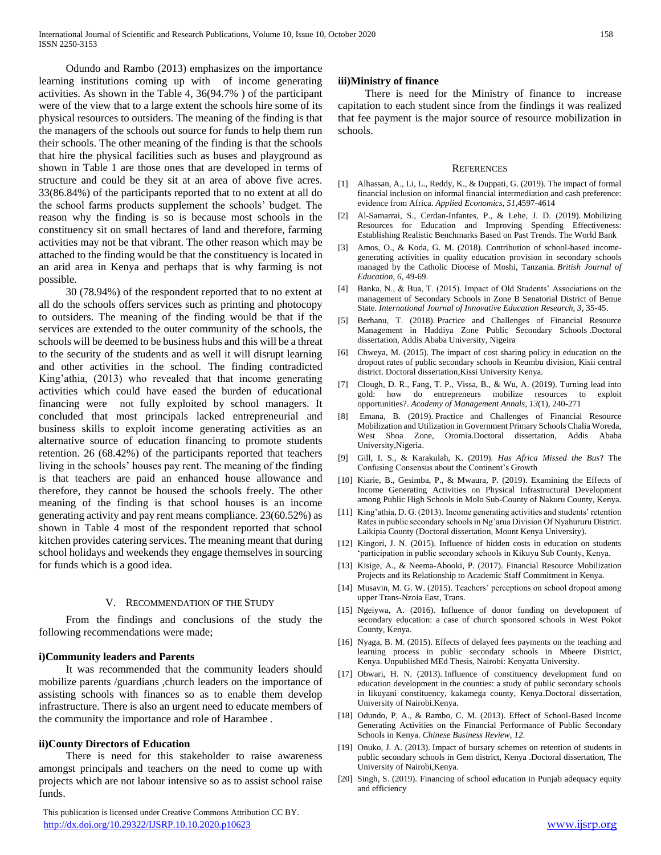Odundo and Rambo (2013) emphasizes on the importance learning institutions coming up with of income generating activities. As shown in the Table 4, 36(94.7% ) of the participant were of the view that to a large extent the schools hire some of its physical resources to outsiders. The meaning of the finding is that the managers of the schools out source for funds to help them run their schools. The other meaning of the finding is that the schools that hire the physical facilities such as buses and playground as shown in Table 1 are those ones that are developed in terms of structure and could be they sit at an area of above five acres. 33(86.84%) of the participants reported that to no extent at all do the school farms products supplement the schools' budget. The reason why the finding is so is because most schools in the constituency sit on small hectares of land and therefore, farming activities may not be that vibrant. The other reason which may be attached to the finding would be that the constituency is located in an arid area in Kenya and perhaps that is why farming is not possible.

 30 (78.94%) of the respondent reported that to no extent at all do the schools offers services such as printing and photocopy to outsiders. The meaning of the finding would be that if the services are extended to the outer community of the schools, the schools will be deemed to be business hubs and this will be a threat to the security of the students and as well it will disrupt learning and other activities in the school. The finding contradicted King'athia, (2013) who revealed that that income generating activities which could have eased the burden of educational financing were not fully exploited by school managers. It concluded that most principals lacked entrepreneurial and business skills to exploit income generating activities as an alternative source of education financing to promote students retention. 26 (68.42%) of the participants reported that teachers living in the schools' houses pay rent. The meaning of the finding is that teachers are paid an enhanced house allowance and therefore, they cannot be housed the schools freely. The other meaning of the finding is that school houses is an income generating activity and pay rent means compliance. 23(60.52%) as shown in Table 4 most of the respondent reported that school kitchen provides catering services. The meaning meant that during school holidays and weekends they engage themselves in sourcing for funds which is a good idea.

#### V. RECOMMENDATION OF THE STUDY

 From the findings and conclusions of the study the following recommendations were made;

#### **i)Community leaders and Parents**

 It was recommended that the community leaders should mobilize parents /guardians ,church leaders on the importance of assisting schools with finances so as to enable them develop infrastructure. There is also an urgent need to educate members of the community the importance and role of Harambee .

#### **ii)County Directors of Education**

 There is need for this stakeholder to raise awareness amongst principals and teachers on the need to come up with projects which are not labour intensive so as to assist school raise funds.

 This publication is licensed under Creative Commons Attribution CC BY. <http://dx.doi.org/10.29322/IJSRP.10.10.2020.p10623> [www.ijsrp.org](http://ijsrp.org/)

## **iii)Ministry of finance**

 There is need for the Ministry of finance to increase capitation to each student since from the findings it was realized that fee payment is the major source of resource mobilization in schools.

#### **REFERENCES**

- [1] Alhassan, A., Li, L., Reddy, K., & Duppati, G. (2019). The impact of formal financial inclusion on informal financial intermediation and cash preference: evidence from Africa. *Applied Economics*, *51*,4597-4614
- [2] Al-Samarrai, S., Cerdan-Infantes, P., & Lehe, J. D. (2019). Mobilizing Resources for Education and Improving Spending Effectiveness: Establishing Realistic Benchmarks Based on Past Trends. The World Bank
- [3] Amos, O., & Koda, G. M. (2018). Contribution of school-based incomegenerating activities in quality education provision in secondary schools managed by the Catholic Diocese of Moshi, Tanzania. *British Journal of Education*, *6*, 49-69.
- [4] Banka, N., & Bua, T. (2015). Impact of Old Students' Associations on the management of Secondary Schools in Zone B Senatorial District of Benue State. *International Journal of Innovative Education Research*, *3*, 35-45.
- [5] Berhanu, T. (2018). Practice and Challenges of Financial Resource Management in Haddiya Zone Public Secondary Schools .Doctoral dissertation, Addis Ababa University, Nigeira
- [6] Chweya, M. (2015). The impact of cost sharing policy in education on the dropout rates of public secondary schools in Keumbu division, Kisii central district. Doctoral dissertation,Kissi University Kenya.
- [7] Clough, D. R., Fang, T. P., Vissa, B., & Wu, A. (2019). Turning lead into gold: how do entrepreneurs mobilize resources to exploit opportunities?. *Academy of Management Annals*, *13*(1), 240-271
- [8] Emana, B. (2019). Practice and Challenges of Financial Resource Mobilization and Utilization in Government Primary Schools Chalia Woreda, West Shoa Zone, Oromia.Doctoral dissertation, Addis Ababa University,Nigeria.
- [9] Gill, I. S., & Karakulah, K. (2019). *Has Africa Missed the Bus*? The Confusing Consensus about the Continent's Growth
- [10] Kiarie, B., Gesimba, P., & Mwaura, P. (2019). Examining the Effects of Income Generating Activities on Physical Infrastructural Development among Public High Schools in Molo Sub-County of Nakuru County, Kenya.
- [11] King'athia, D. G. (2013). Income generating activities and students' retention Rates in public secondary schools in Ng'arua Division Of Nyahururu District. Laikipia County (Doctoral dissertation, Mount Kenya University).
- [12] Kingori, J. N. (2015). Influence of hidden costs in education on students 'participation in public secondary schools in Kikuyu Sub County, Kenya.
- [13] Kisige, A., & Neema-Abooki, P. (2017). Financial Resource Mobilization Projects and its Relationship to Academic Staff Commitment in Kenya.
- [14] Musavin, M. G. W. (2015). Teachers' perceptions on school dropout among upper Trans-Nzoia East, Trans.
- [15] Ngeiywa, A. (2016). Influence of donor funding on development of secondary education: a case of church sponsored schools in West Pokot County, Kenya.
- [16] Nyaga, B. M. (2015). Effects of delayed fees payments on the teaching and learning process in public secondary schools in Mbeere District, Kenya. Unpublished MEd Thesis, Nairobi: Kenyatta University.
- [17] Obwari, H. N. (2013). Influence of constituency development fund on education development in the counties: a study of public secondary schools in likuyani constituency, kakamega county, Kenya.Doctoral dissertation, University of Nairobi.Kenya.
- [18] Odundo, P. A., & Rambo, C. M. (2013). Effect of School-Based Income Generating Activities on the Financial Performance of Public Secondary Schools in Kenya. *Chinese Business Review*, *12*.
- [19] Onuko, J. A. (2013). Impact of bursary schemes on retention of students in public secondary schools in Gem district, Kenya .Doctoral dissertation, The University of Nairobi,Kenya.
- [20] Singh, S. (2019). Financing of school education in Punjab adequacy equity and efficiency